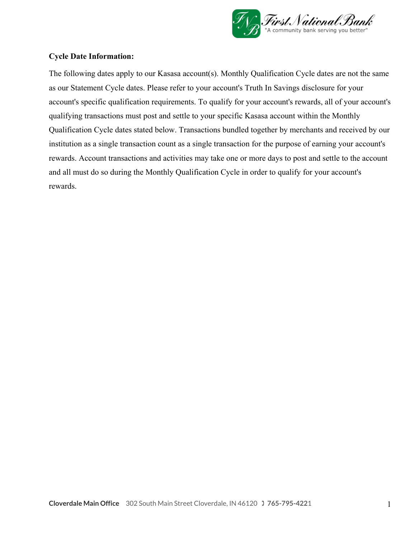

## **Cycle Date Information:**

The following dates apply to our Kasasa account(s). Monthly Qualification Cycle dates are not the same as our Statement Cycle dates. Please refer to your account's Truth In Savings disclosure for your account's specific qualification requirements. To qualify for your account's rewards, all of your account's qualifying transactions must post and settle to your specific Kasasa account within the Monthly Qualification Cycle dates stated below. Transactions bundled together by merchants and received by our institution as a single transaction count as a single transaction for the purpose of earning your account's rewards. Account transactions and activities may take one or more days to post and settle to the account and all must do so during the Monthly Qualification Cycle in order to qualify for your account's rewards.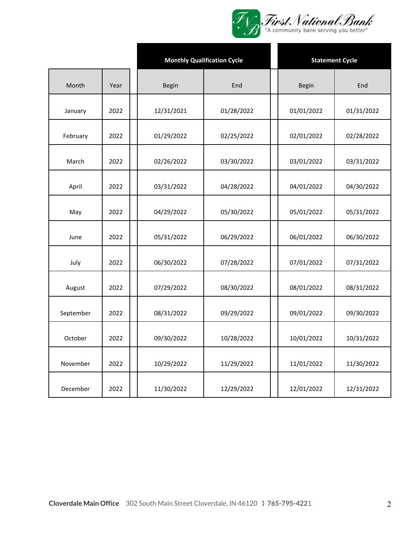

|           |      | <b>Monthly Qualification Cycle</b> |            | <b>Statement Cycle</b> |            |
|-----------|------|------------------------------------|------------|------------------------|------------|
| Month     | Year | Begin                              | End        | Begin                  | End        |
| January   | 2022 | 12/31/2021                         | 01/28/2022 | 01/01/2022             | 01/31/2022 |
| February  | 2022 | 01/29/2022                         | 02/25/2022 | 02/01/2022             | 02/28/2022 |
| March     | 2022 | 02/26/2022                         | 03/30/2022 | 03/01/2022             | 03/31/2022 |
| April     | 2022 | 03/31/2022                         | 04/28/2022 | 04/01/2022             | 04/30/2022 |
| May       | 2022 | 04/29/2022                         | 05/30/2022 | 05/01/2022             | 05/31/2022 |
| June      | 2022 | 05/31/2022                         | 06/29/2022 | 06/01/2022             | 06/30/2022 |
| July      | 2022 | 06/30/2022                         | 07/28/2022 | 07/01/2022             | 07/31/2022 |
| August    | 2022 | 07/29/2022                         | 08/30/2022 | 08/01/2022             | 08/31/2022 |
| September | 2022 | 08/31/2022                         | 09/29/2022 | 09/01/2022             | 09/30/2022 |
| October   | 2022 | 09/30/2022                         | 10/28/2022 | 10/01/2022             | 10/31/2022 |
| November  | 2022 | 10/29/2022                         | 11/29/2022 | 11/01/2022             | 11/30/2022 |
| December  | 2022 | 11/30/2022                         | 12/29/2022 | 12/01/2022             | 12/31/2022 |